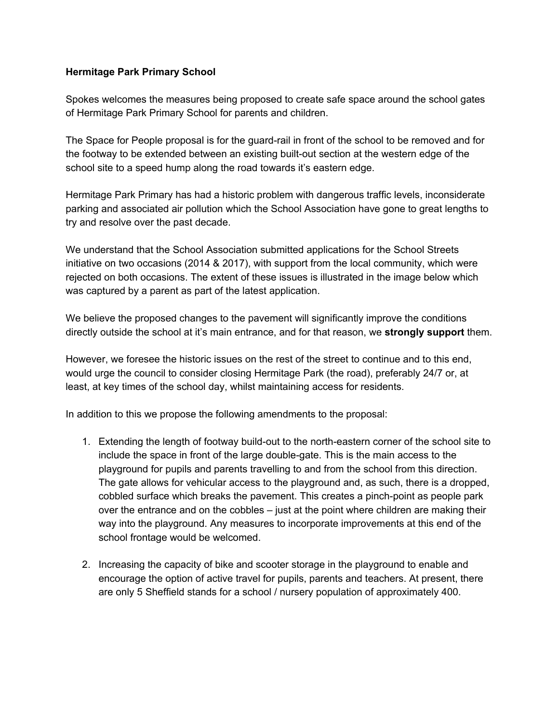## **Hermitage Park Primary School**

Spokes welcomes the measures being proposed to create safe space around the school gates of Hermitage Park Primary School for parents and children.

The Space for People proposal is for the guard-rail in front of the school to be removed and for the footway to be extended between an existing built-out section at the western edge of the school site to a speed hump along the road towards it's eastern edge.

Hermitage Park Primary has had a historic problem with dangerous traffic levels, inconsiderate parking and associated air pollution which the School Association have gone to great lengths to try and resolve over the past decade.

We understand that the School Association submitted applications for the School Streets initiative on two occasions (2014 & 2017), with support from the local community, which were rejected on both occasions. The extent of these issues is illustrated in the image below which was captured by a parent as part of the latest application.

We believe the proposed changes to the pavement will significantly improve the conditions directly outside the school at it's main entrance, and for that reason, we **strongly support** them.

However, we foresee the historic issues on the rest of the street to continue and to this end, would urge the council to consider closing Hermitage Park (the road), preferably 24/7 or, at least, at key times of the school day, whilst maintaining access for residents.

In addition to this we propose the following amendments to the proposal:

- 1. Extending the length of footway build-out to the north-eastern corner of the school site to include the space in front of the large double-gate. This is the main access to the playground for pupils and parents travelling to and from the school from this direction. The gate allows for vehicular access to the playground and, as such, there is a dropped, cobbled surface which breaks the pavement. This creates a pinch-point as people park over the entrance and on the cobbles – just at the point where children are making their way into the playground. Any measures to incorporate improvements at this end of the school frontage would be welcomed.
- 2. Increasing the capacity of bike and scooter storage in the playground to enable and encourage the option of active travel for pupils, parents and teachers. At present, there are only 5 Sheffield stands for a school / nursery population of approximately 400.